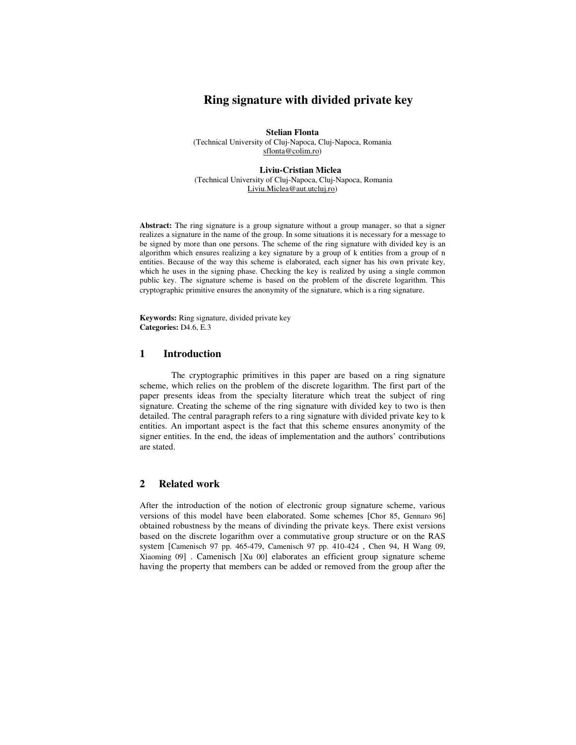# **Ring signature with divided private key**

**Stelian Flonta**  (Technical University of Cluj-Napoca, Cluj-Napoca, Romania sflonta@colim.ro)

**Liviu-Cristian Miclea**  (Technical University of Cluj-Napoca, Cluj-Napoca, Romania Liviu.Miclea@aut.utcluj.ro)

Abstract: The ring signature is a group signature without a group manager, so that a signer realizes a signature in the name of the group. In some situations it is necessary for a message to be signed by more than one persons. The scheme of the ring signature with divided key is an algorithm which ensures realizing a key signature by a group of k entities from a group of n entities. Because of the way this scheme is elaborated, each signer has his own private key, which he uses in the signing phase. Checking the key is realized by using a single common public key. The signature scheme is based on the problem of the discrete logarithm. This cryptographic primitive ensures the anonymity of the signature, which is a ring signature.

**Keywords:** Ring signature, divided private key **Categories:** D4.6, E.3

## **1 Introduction**

The cryptographic primitives in this paper are based on a ring signature scheme, which relies on the problem of the discrete logarithm. The first part of the paper presents ideas from the specialty literature which treat the subject of ring signature. Creating the scheme of the ring signature with divided key to two is then detailed. The central paragraph refers to a ring signature with divided private key to k entities. An important aspect is the fact that this scheme ensures anonymity of the signer entities. In the end, the ideas of implementation and the authors' contributions are stated.

## **2 Related work**

After the introduction of the notion of electronic group signature scheme, various versions of this model have been elaborated. Some schemes [Chor 85, Gennaro 96] obtained robustness by the means of divinding the private keys. There exist versions based on the discrete logarithm over a commutative group structure or on the RAS system [Camenisch 97 pp. 465-479, Camenisch 97 pp. 410-424 , Chen 94, H Wang 09, Xiaoming 09] . Camenisch [Xu 00] elaborates an efficient group signature scheme having the property that members can be added or removed from the group after the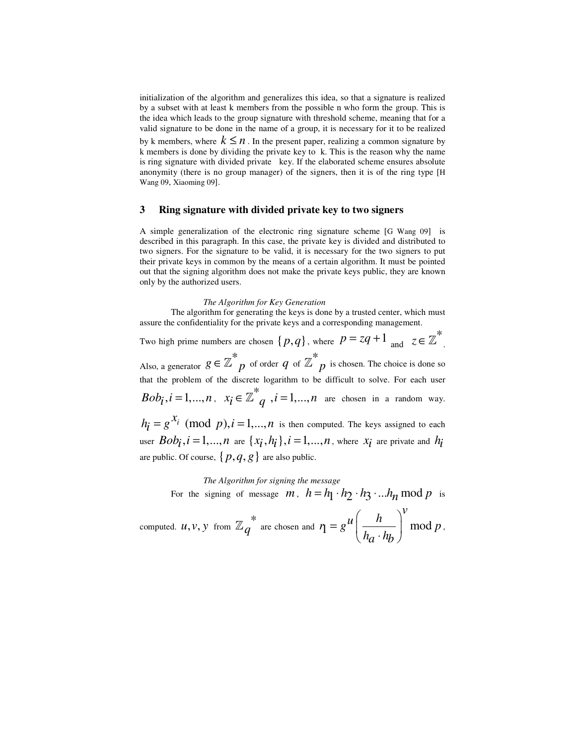initialization of the algorithm and generalizes this idea, so that a signature is realized by a subset with at least k members from the possible n who form the group. This is the idea which leads to the group signature with threshold scheme, meaning that for a valid signature to be done in the name of a group, it is necessary for it to be realized by k members, where  $k \leq n$ . In the present paper, realizing a common signature by k members is done by dividing the private key to k. This is the reason why the name is ring signature with divided private key. If the elaborated scheme ensures absolute anonymity (there is no group manager) of the signers, then it is of the ring type [H Wang 09, Xiaoming 09].

### **3 Ring signature with divided private key to two signers**

A simple generalization of the electronic ring signature scheme [G Wang 09] is described in this paragraph. In this case, the private key is divided and distributed to two signers. For the signature to be valid, it is necessary for the two signers to put their private keys in common by the means of a certain algorithm. It must be pointed out that the signing algorithm does not make the private keys public, they are known only by the authorized users.

#### *The Algorithm for Key Generation*

 The algorithm for generating the keys is done by a trusted center, which must assure the confidentiality for the private keys and a corresponding management. Two high prime numbers are chosen  $\{p,q\}$ , where  $p = zq + 1$  and  $z \in \mathbb{Z}^*$ . Also, a generator  $g \in \mathbb{Z}^*_{p}$  of order  $q$  of  $\mathbb{Z}^*_{p}$  is chosen. The choice is done so that the problem of the discrete logarithm to be difficult to solve. For each user  $Bob_i$ ,  $i = 1,...,n$ ,  $x_i \in \mathbb{Z}^*$   $q$ ,  $i = 1,...,n$  are chosen in a random way.  $h_i = g^{\mathcal{X}_i} \pmod{p}, i = 1,...,n$  is then computed. The keys assigned to each user  $Bob_i$ ,  $i = 1,...,n$  are  $\{x_i, h_i\}$ ,  $i = 1,...,n$ , where  $x_i$  are private and  $h_i$ 

are public. Of course,  $\{p, q, g\}$  are also public.

*The Algorithm for signing the message*  For the signing of message *m*,  $h = h_1 \cdot h_2 \cdot h_3 \cdot ... h_n \mod p$  is

computed. *u*, *v*, *y* from  $\mathbb{Z}_q^*$  are chosen and  $\eta = g^{\mathcal{U}}\left(\frac{h}{h+h}\right)$  mod *v*  $\eta = g^u \left( \frac{h}{h} \right)^v \mod p$  $h_a \cdot h_b$  $(h)$  $= g^{\mu} \left| \frac{n}{1-r} \right|$  $\left(\overline{h_a \cdot h_b}\right) \mod p$ ,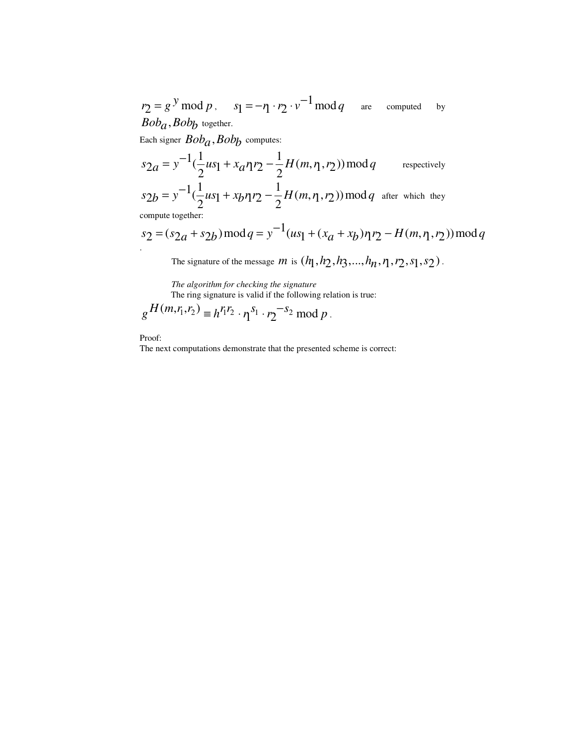$r_2 = g^y \mod p$ ,  $s_1 = -r_1 \cdot r_2 \cdot v^{-1} \mod q$  are computed by *Bob<sub>a</sub>*, *Bob<sub>b</sub>* together.

Each signer  $Bob<sub>a</sub>$ ,  $Bob<sub>b</sub>$  computes:

$$
s_{2a} = y^{-1}(\frac{1}{2}us_1 + x_a\eta r_2 - \frac{1}{2}H(m, \eta, r_2)) \mod q
$$
 respectively  
\n
$$
s_{2b} = y^{-1}(\frac{1}{2}us_1 + x_b\eta r_2 - \frac{1}{2}H(m, \eta, r_2)) \mod q
$$
 after which they

compute together:

$$
s_2 = (s_{2a} + s_{2b}) \mod q = y^{-1}(us_1 + (x_a + x_b)\eta r_2 - H(m, \eta, r_2)) \mod q
$$

The signature of the message  $m$  is  $(h_1, h_2, h_3, ..., h_n, \eta, r_2, s_1, s_2)$ .

*The algorithm for checking the signature* The ring signature is valid if the following relation is true:

$$
g^{H(m,r_1,r_2)} \equiv h^{r_1 r_2} \cdot \eta^{s_1} \cdot r_2^{-s_2} \bmod p.
$$

Proof:

The next computations demonstrate that the presented scheme is correct: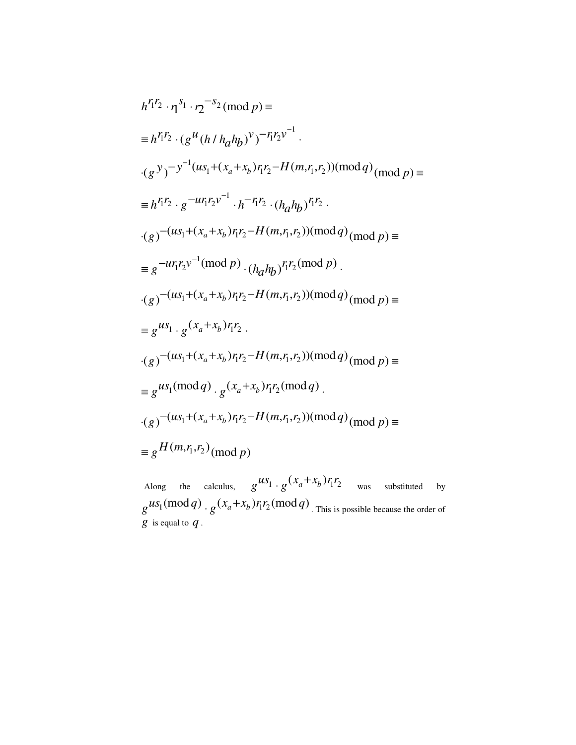$$
h^{r_1r_2} \cdot \eta^{s_1} \cdot r_2^{-s_2} \pmod{p} =
$$
  
\n
$$
= h^{r_1r_2} \cdot (g^u(h/h_ah_b)^v)^{-r_1r_2v^{-1}} \cdot
$$
  
\n
$$
\cdot (g^y)^{-y^{-1}(us_1 + (x_a + x_b)r_1r_2 - H(m,r_1,r_2)) \pmod{q}} \pmod{p} =
$$
  
\n
$$
= h^{r_1r_2} \cdot g^{-ur_1r_2v^{-1}} \cdot h^{-r_1r_2} \cdot (h_ah_b)^{r_1r_2} \cdot
$$
  
\n
$$
\cdot (g)^{-(us_1 + (x_a + x_b)r_1r_2 - H(m,r_1,r_2)) \pmod{q}} \pmod{p} =
$$
  
\n
$$
= g^{-ur_1r_2v^{-1} \pmod{p}} \cdot (h_ah_b)^{r_1r_2 \pmod{p}}.
$$
  
\n
$$
\cdot (g)^{-(us_1 + (x_a + x_b)r_1r_2 - H(m,r_1,r_2)) \pmod{q}} \pmod{p} =
$$
  
\n
$$
= g^{us_1} \cdot g^{(x_a + x_b)r_1r_2}.
$$
  
\n
$$
\cdot (g)^{-(us_1 + (x_a + x_b)r_1r_2 - H(m,r_1,r_2)) \pmod{q}} \pmod{p} =
$$
  
\n
$$
= g^{us_1} \pmod{q} \cdot g^{(x_a + x_b)r_1r_2 - H(m,r_1,r_2)) \pmod{q}} \pmod{p} =
$$
  
\n
$$
= g^{H(m,r_1,r_2) \pmod{p}}
$$

Along the calculus,  $g^{uS_1} \cdot g^{(x_a + x_b) r_1 r_2}$  $\cdot g(x_a + x_b) r_1 r_2$  was substituted by  $g^{\mu s_1 (\text{mod } q)} \cdot g^{(x_a + x_b) r_1 r_2 (\text{mod } q)}$  $+ g(x_a + x_b) r_1 r_2 \pmod{q}$ . This is possible because the order of  $\overline{g}$  is equal to  $q$ .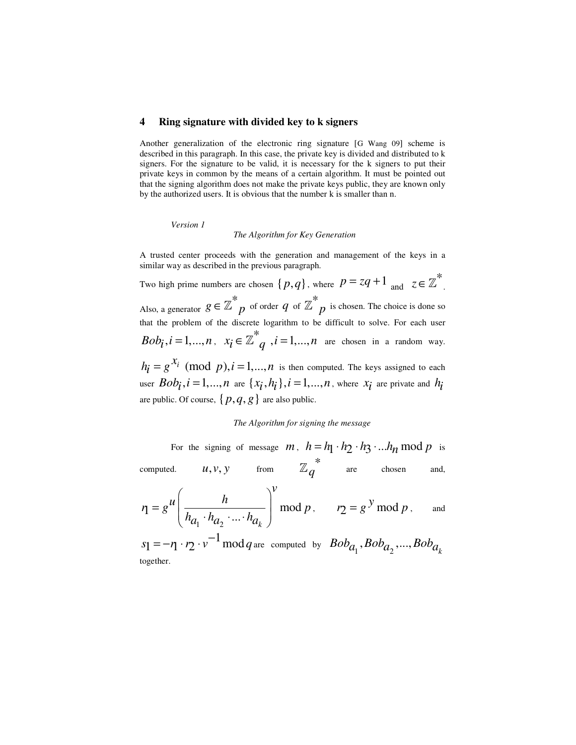#### **4 Ring signature with divided key to k signers**

Another generalization of the electronic ring signature [G Wang 09] scheme is described in this paragraph. In this case, the private key is divided and distributed to k signers. For the signature to be valid, it is necessary for the k signers to put their private keys in common by the means of a certain algorithm. It must be pointed out that the signing algorithm does not make the private keys public, they are known only by the authorized users. It is obvious that the number k is smaller than n.

 *Version 1* 

#### *The Algorithm for Key Generation*

A trusted center proceeds with the generation and management of the keys in a similar way as described in the previous paragraph.

Two high prime numbers are chosen  $\{p,q\}$ , where  $p = zq + 1$  and  $z \in \mathbb{Z}^*$ . Also, a generator  $g \in \mathbb{Z}^*_{p}$  of order  $q$  of  $\mathbb{Z}^*_{p}$  is chosen. The choice is done so that the problem of the discrete logarithm to be difficult to solve. For each user  $Bob_i, i = 1,...,n$ ,  $x_i \in \mathbb{Z}^*$   $i = 1,...,n$  are chosen in a random way.  $h_i = g^{\mathcal{X}_i} \pmod{p}, i = 1,...,n$  is then computed. The keys assigned to each user  $Bob_i$ ,  $i = 1,...,n$  are  $\{x_i, h_i\}$ ,  $i = 1,...,n$ , where  $x_i$  are private and  $h_i$ are public. Of course,  $\{p, q, g\}$  are also public.

## *The Algorithm for signing the message*

For the signing of message *m*,  $h = h_1 \cdot h_2 \cdot h_3 \cdot ... h_n \mod p$  is computed.  $u, v, y$  from  $\mathbb{Z}_q^*$  are chosen and,

$$
\eta = g^{\mathcal{U}} \left( \frac{h}{h_{a_1} \cdot h_{a_2} \cdot \ldots \cdot h_{a_k}} \right)^{\mathcal{V}} \text{mod } p, \qquad r_2 = g^{\mathcal{Y}} \text{mod } p, \qquad \text{and}
$$

 $s_1 = -\eta \cdot r_2 \cdot v^{-1} \mod q$  are computed by  $Bob_{a_1}$ ,  $Bob_{a_2}$ , ...,  $Bob_{a_k}$ together.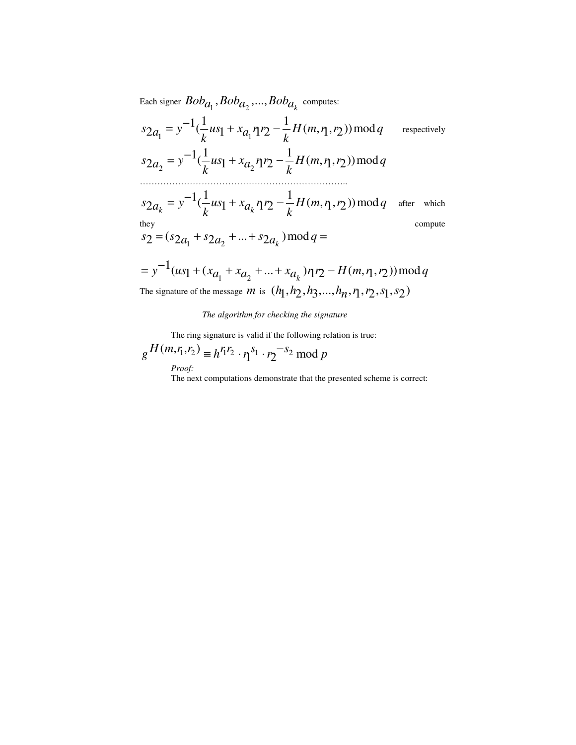Each signer  $Bob_{a_1}$ ,  $Bob_{a_2}$ , ...,  $Bob_{a_k}$  computes:

$$
s_{2a_1} = y^{-1}(\frac{1}{k}us_1 + x_{a_1}\eta r_2 - \frac{1}{k}H(m, \eta, r_2)) \mod q \qquad \text{respectively}
$$
  
\n
$$
s_{2a_2} = y^{-1}(\frac{1}{k}us_1 + x_{a_2}\eta r_2 - \frac{1}{k}H(m, \eta, r_2)) \mod q
$$
  
\n
$$
s_{2a_k} = y^{-1}(\frac{1}{k}us_1 + x_{a_k}\eta r_2 - \frac{1}{k}H(m, \eta, r_2)) \mod q \quad \text{after which}
$$
  
\n
$$
s_2 = (s_{2a_1} + s_{2a_2} + ... + s_{2a_k}) \mod q =
$$
  
\n
$$
= y^{-1}(us_1 + (x_{a_1} + x_{a_2} + ... + x_{a_k})\eta r_2 - H(m, \eta, r_2)) \mod q
$$
  
\nThe signature of the message *m* is  $(h_1, h_2, h_3, ..., h_n, \eta, r_2, s_1, s_2)$ 

## *The algorithm for checking the signature*

The ring signature is valid if the following relation is true:

$$
g\frac{H(m,r_1,r_2)}{Proof:} \equiv h^{r_1r_2} \cdot \eta^{s_1} \cdot r_2^{-s_2} \mod p
$$

The next computations demonstrate that the presented scheme is correct: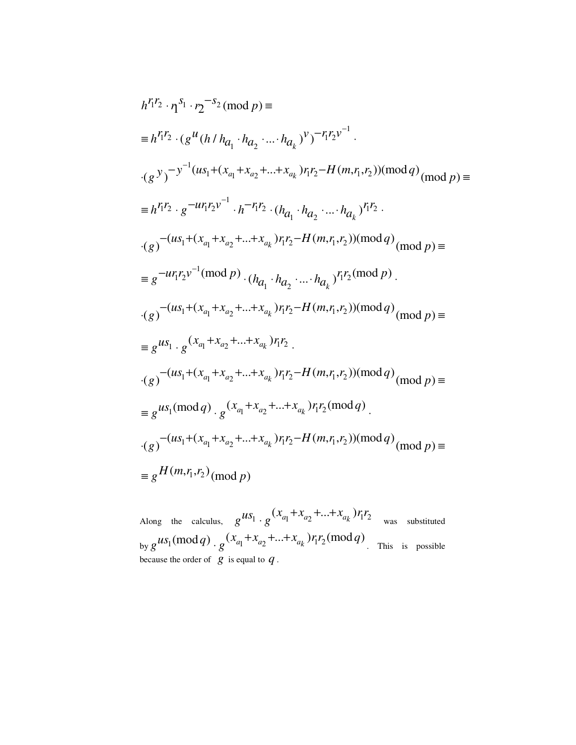$$
h^{r_1 r_2} \cdot n^{s_1} \cdot n_2^{-s_2} \pmod{p} =
$$
  
\n
$$
= h^{r_1 r_2} \cdot (g^{u} (h/h_{q_1} \cdot h_{q_2} \cdot ... \cdot h_{q_k})^{v})^{-r_1 r_2 v^{-1}} \cdot
$$
  
\n
$$
\cdot (g^{y})^{-y^{-1} (us_1 + (x_{q_1} + x_{q_2} + ... + x_{q_k}) r_1 r_2 - H(m, r_1, r_2)) (mod q)} \pmod{p} =
$$
  
\n
$$
= h^{r_1 r_2} \cdot g^{-u r_1 r_2 v^{-1}} \cdot h^{-r_1 r_2} \cdot (h_{q_1} \cdot h_{q_2} \cdot ... \cdot h_{q_k})^{r_1 r_2} \cdot
$$
  
\n
$$
\cdot (g)^{-(us_1 + (x_{q_1} + x_{q_2} + ... + x_{q_k}) r_1 r_2 - H(m, r_1, r_2)) (mod q)} \pmod{p} =
$$
  
\n
$$
= g^{-u r_1 r_2 v^{-1}} \pmod{p} \cdot (h_{q_1} \cdot h_{q_2} \cdot ... \cdot h_{q_k})^{r_1 r_2} \pmod{p}.
$$
  
\n
$$
\cdot (g)^{-(us_1 + (x_{q_1} + x_{q_2} + ... + x_{q_k}) r_1 r_2 - H(m, r_1, r_2)) (mod q)} \pmod{p} =
$$
  
\n
$$
= g^{us_1} \cdot g^{(x_{q_1} + x_{q_2} + ... + x_{q_k}) r_1 r_2} \cdot
$$
  
\n
$$
\cdot (g)^{-(us_1 + (x_{q_1} + x_{q_2} + ... + x_{q_k}) r_1 r_2 - H(m, r_1, r_2)) (mod q)} \pmod{p} =
$$
  
\n
$$
= g^{us_1} \pmod{q} \cdot g^{(x_{q_1} + x_{q_2} + ... + x_{q_k}) r_1 r_2 - H(m, r_1, r_2))} \pmod{q}
$$
  
\n
$$
\cdot (g)^{-(us_1 + (x_{q_1} + x_{q_2} + ... + x_{q_k}) r_1 r_2 - H(m, r_1, r_2))} \pmod{q}
$$

Along the calculus,  $g^{uS_1} \cdot g^{(x_{a_1} + x_{a_2} + ... + x_{a_k})} r_1 r_2$  $+x$  +...+  $\cdot g^{(X_{a_1}+X_{a_2}+\ldots+X_{a_k})r_1r_2}$  was substituted by  $g^{us_1 \text{(mod } q)} \cdot g^{(x_{a_1} + x_{a_2} + \ldots + x_{a_k}) r_i r_2 \text{(mod } q)}$  $+x_{-}+...+$  $\cdot g^{(\lambda_{a_1} + \lambda_{a_2} + \ldots + \lambda_{a_k})}$   $r_1 r_2$ (mod q). This is possible because the order of *g* is equal to *q* .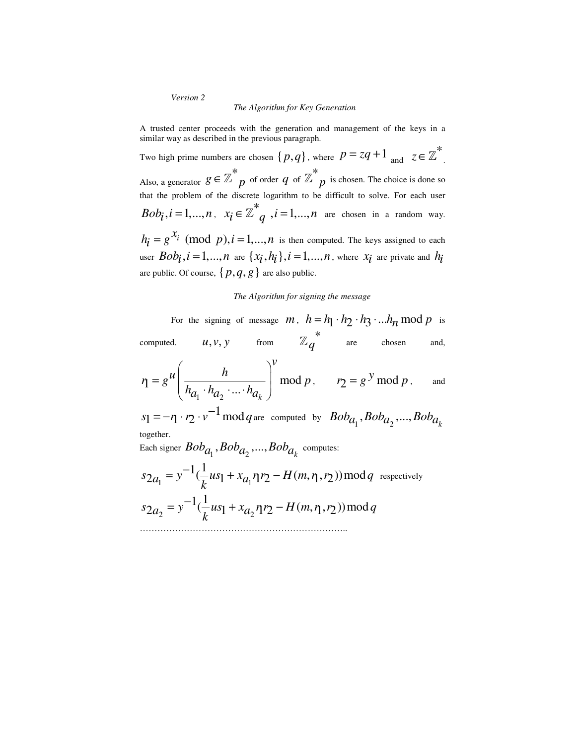*Version 2* 

#### *The Algorithm for Key Generation*

A trusted center proceeds with the generation and management of the keys in a similar way as described in the previous paragraph.

Two high prime numbers are chosen  $\{p,q\}$ , where  $p = zq + 1$  and  $z \in \mathbb{Z}^*$ . Also, a generator  $g \in \mathbb{Z}^*_{p}$  of order  $q$  of  $\mathbb{Z}^*_{p}$  is chosen. The choice is done so that the problem of the discrete logarithm to be difficult to solve. For each user  $Bob_i, i = 1,...,n$ ,  $x_i \in \mathbb{Z}^*$   $i = 1,...,n$  are chosen in a random way.  $h_{\mathbf{i}} = g^{\mathcal{X}_{i}} \pmod{p}, i = 1,...,n$  is then computed. The keys assigned to each user  $Bob_i$ ,  $i = 1,...,n$  are  $\{x_i, h_i\}$ ,  $i = 1,...,n$ , where  $x_i$  are private and  $h_i$ are public. Of course,  $\{p, q, g\}$  are also public.

#### *The Algorithm for signing the message*

For the signing of message *m*,  $h = h_1 \cdot h_2 \cdot h_3 \cdot ... h_n \mod p$  is computed.  $u, v, v$  from  $\mathbb{Z}_q^*$  are chosen and, 1  $u_2$  $m = g^u \left( \frac{h}{h_{a_1} \cdot h_{a_2} \cdot \ldots \cdot h_{a_k}} \right) \mod$ *v*  $n = g^{u} \left| \frac{h}{1 - h^{u}} \right|$  mod p  $h_{a_1} \cdot h_{a_2} \cdot ... \cdot h_a$  $\begin{pmatrix} & & & \\ & & h & \end{pmatrix}$  $= g^{\mu}$   $\begin{array}{ccc} & n & \end{array}$  $\left(\frac{h}{h_{a_1} \cdot h_{a_2} \cdot ... \cdot h_{a_k}}\right) \mod p$ ,  $r_2 = g^y \mod p$ , and  $s_1 = -\eta \cdot r_2 \cdot v^{-1} \mod q$  are computed by  $Bob_{a_1}$ ,  $Bob_{a_2}$ , ...,  $Bob_{a_k}$ together. Each signer  $Bob_{a_1}$ ,  $Bob_{a_2}$ , ...,  $Bob_{a_k}$  computes: 1  $\lambda$   $\lambda$  1  $u_1$  $1/1$  $s_{2a_1} = y^{-1}(\frac{1}{k}us_1 + x_{a_1} \eta r_2 - H(m, \eta, r_2)) \mod q$  $= y^{-1}(\frac{1}{-}us_1 + x_a \eta r_2 - H(m, \eta, r_2)) \bmod q$  respectively 2  $\lambda$   $\lambda$  1  $u_2$  $1/1$  $s_{2a_2} = y^{-1}(\frac{1}{k}us_1 + x_{a_2}\eta r_2 - H(m, \eta, r_2)) \mod q$  $= v^{-1}(\frac{1}{-us_1 + x_a} mv -$ ……………………………………………………………..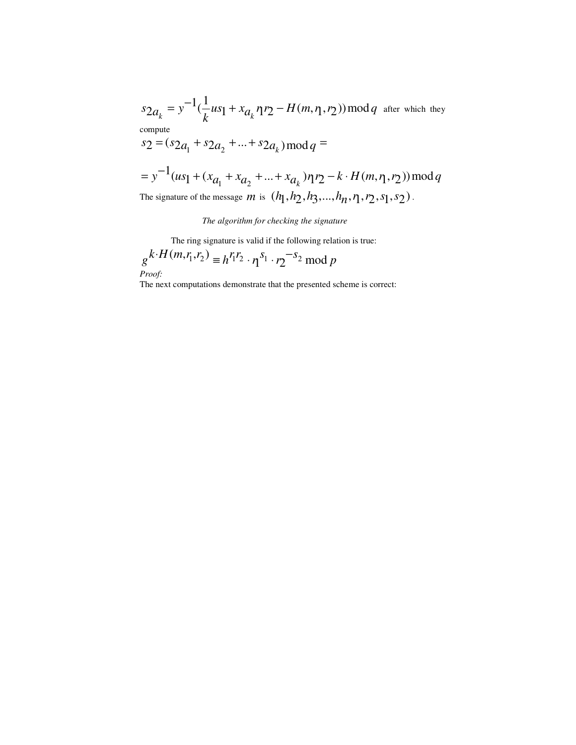$1/1$  $s_{2a_k} = y^{-1}(\frac{1}{k}us_1 + x_{a_k} \eta r_2 - H(m, \eta, r_2)) \mod q$  $= y^{-1}(\frac{1}{-}us_1 + x_a)$ .  $\eta$   $\eta$   $\to$   $H(m, \eta, \eta)$ ) mod  $q$  after which they compute  $s_2 = (s_{2a_1} + s_{2a_2} + ... + s_{2a_k}) \mod q =$ 

$$
= y^{-1}(us_1 + (x_{a_1} + x_{a_2} + ... + x_{a_k})\eta r_2 - k \cdot H(m, \eta, r_2)) \bmod q
$$
  
The signature of the message *m* is  $(h_1, h_2, h_3, ..., h_n, r_1, r_2, s_1, s_2)$ .

#### *The algorithm for checking the signature*

The ring signature is valid if the following relation is true:

$$
g^{k \cdot H(m,r_1,r_2)} \equiv h^{r_1 r_2} \cdot \eta^{s_1} \cdot r_2^{-s_2} \bmod p
$$
  
*Proof:*

The next computations demonstrate that the presented scheme is correct: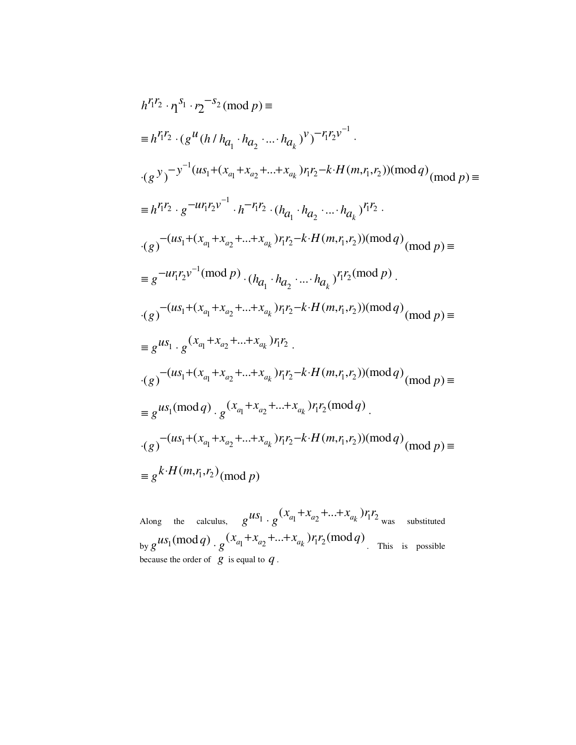$$
h^{r_1 r_2} \cdot r_1^{s_1} \cdot r_2^{-s_2} \pmod{p} \equiv
$$
\n
$$
\equiv h^{r_1 r_2} \cdot (g^{u} (h/h_{q_1} \cdot h_{q_2} \cdot \ldots \cdot h_{q_k})^v)^{-r_1 r_2 v^{-1}} \cdot
$$
\n
$$
\cdot (g^{y})^{-y^{-1} (us_1 + (x_{a_1} + x_{a_2} + \ldots + x_{a_k}) r_1 r_2 - k \cdot H(m, r_1, r_2)) (mod q)} \pmod{p} \equiv
$$
\n
$$
\equiv h^{r_1 r_2} \cdot g^{-u r_1 r_2 v^{-1}} \cdot h^{-r_1 r_2} \cdot (h_{q_1} \cdot h_{q_2} \cdot \ldots \cdot h_{q_k})^{r_1 r_2} \cdot
$$
\n
$$
\cdot (g)^{-(us_1 + (x_{a_1} + x_{a_2} + \ldots + x_{a_k}) r_1 r_2 - k \cdot H(m, r_1, r_2)) (mod q)} \pmod{p} \equiv
$$
\n
$$
\equiv g^{-u r_1 r_2 v^{-1} (mod p)} \cdot (h_{q_1} \cdot h_{q_2} \cdot \ldots \cdot h_{q_k})^{r_1 r_2 (mod p)} \cdot
$$
\n
$$
\cdot (g)^{-(us_1 + (x_{a_1} + x_{a_2} + \ldots + x_{a_k}) r_1 r_2 - k \cdot H(m, r_1, r_2)) (mod q)} \pmod{p} \equiv
$$
\n
$$
\equiv g^{us_1} \cdot g^{(x_{a_1} + x_{a_2} + \ldots + x_{a_k}) r_1 r_2} \cdot
$$
\n
$$
\cdot (g)^{-(us_1 + (x_{a_1} + x_{a_2} + \ldots + x_{a_k}) r_1 r_2 - k \cdot H(m, r_1, r_2)) (mod q)} \pmod{p} \equiv
$$
\n
$$
\equiv g^{us_1} \pmod{q} \cdot g^{(x_{a_1} + x_{a_2} + \ldots + x_{a_k}) r_1 r_2 - k \cdot H(m, r_1, r_2)) (mod q)} \pmod{p} \equiv
$$
\n
$$
\equiv g^{k \cdot H(m, r_1, r_2)} \pmod{p}
$$

Along the calculus,  $g^{uS_1} \cdot g^{(x_{a_1} + x_{a_2} + \ldots + x_{a_k})} r_1 r_2$  $+x$  +...+  $\cdot g^{(x_{a_1}+x_{a_2}+\ldots+x_{a_k})r_1r_2}$  was substituted by  $g^{us_1 \text{(mod } q)} \cdot g^{(x_{a_1} + x_{a_2} + \ldots + x_{a_k}) r_i r_2 \text{(mod } q)}$  $+x_{-}+...+$  $\cdot g^{(\lambda_{a_1} + \lambda_{a_2} + \ldots + \lambda_{a_k})}$   $r_1 r_2$ (mod q). This is possible because the order of  $g$  is equal to  $q$ .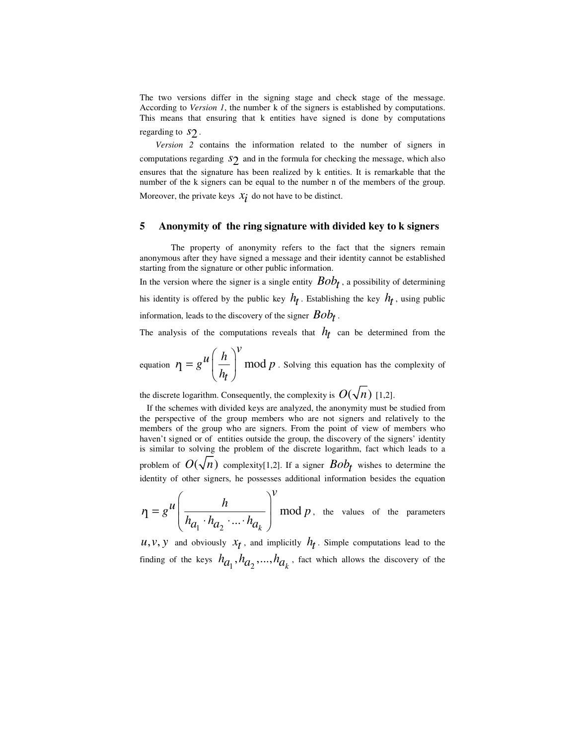The two versions differ in the signing stage and check stage of the message. According to *Version 1*, the number k of the signers is established by computations. This means that ensuring that k entities have signed is done by computations regarding to  $S_2$ .

*Version 2* contains the information related to the number of signers in computations regarding  $S_2$  and in the formula for checking the message, which also ensures that the signature has been realized by k entities. It is remarkable that the number of the k signers can be equal to the number n of the members of the group. Moreover, the private keys  $x_i$  do not have to be distinct.

#### **5 Anonymity of the ring signature with divided key to k signers**

 The property of anonymity refers to the fact that the signers remain anonymous after they have signed a message and their identity cannot be established starting from the signature or other public information.

In the version where the signer is a single entity  $Bob_t$ , a possibility of determining his identity is offered by the public key  $h_t$ . Establishing the key  $h_t$ , using public information, leads to the discovery of the signer  $Bob_t$  .

The analysis of the computations reveals that  $h_t$  can be determined from the

equation  $\eta = g^{\mu} \left| \frac{n}{h} \right|$  mod *v*  $\eta = g^{\mu} \left( \frac{h}{h} \right)^{\nu} \mod p$ *ht*  $(h)$  $= g^{\mu} \left( \frac{h}{h_t} \right) \mod p$ . Solving this equation has the complexity of

the discrete logarithm. Consequently, the complexity is  $O(\sqrt{n})$  [1,2].

If the schemes with divided keys are analyzed, the anonymity must be studied from the perspective of the group members who are not signers and relatively to the members of the group who are signers. From the point of view of members who haven't signed or of entities outside the group, the discovery of the signers' identity is similar to solving the problem of the discrete logarithm, fact which leads to a problem of  $O(\sqrt{n})$  complexity[1,2]. If a signer  $Bob_t$  wishes to determine the identity of other signers, he possesses additional information besides the equation

 $\eta = g^{\mu} \left( \frac{h}{h_{a_1} \cdot h_{a_2} \cdot ... \cdot h_{a_k}} \right) \mod$ *v*  $n = g^{u} \left( \frac{h}{1 + h^{2}} \right) \mod p$  $h_{a_1} \cdot h_{a_2} \cdot ... \cdot h_a$  $\begin{pmatrix} & & & \\ & & h & \end{pmatrix}$  $= e^{\mu}$   $\frac{n}{\sqrt{2}}$  $\left(\overline{h_{a_1} \cdot h_{a_2} \cdot ... \cdot h_{a_k}}\right) \mod p$ , the values of the parameters

1  $u_2$  $u, v, y$  and obviously  $x_t$ , and implicitly  $h_t$ . Simple computations lead to the finding of the keys  $h_{a_1}, h_{a_2},..., h_{a_k}$ , fact which allows the discovery of the